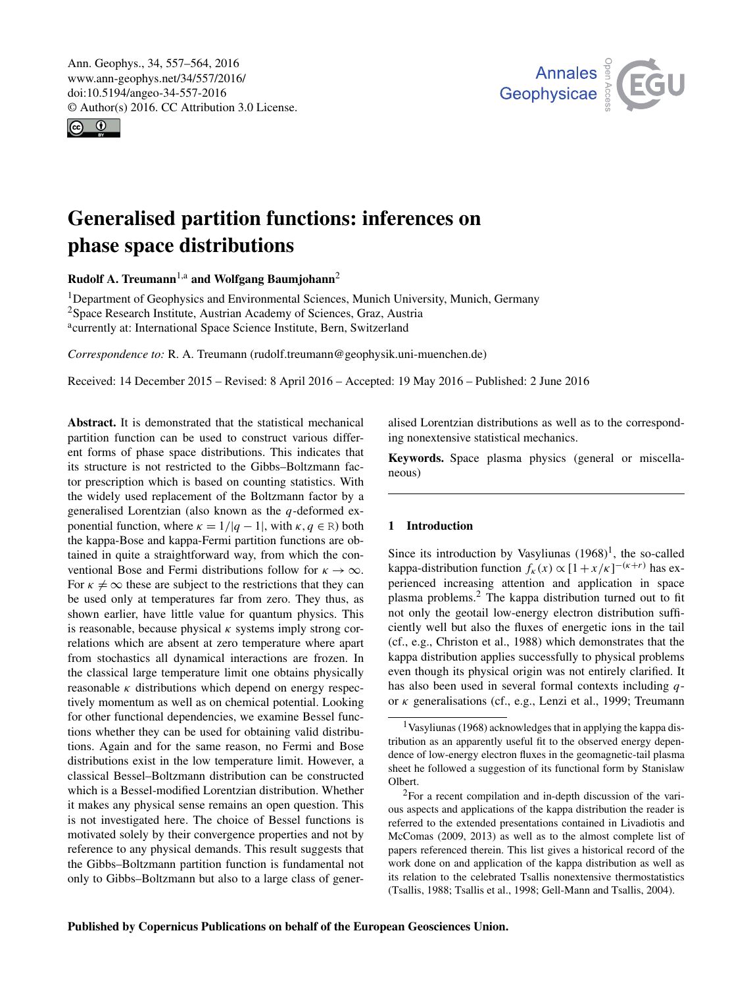<span id="page-0-1"></span>Ann. Geophys., 34, 557–564, 2016 www.ann-geophys.net/34/557/2016/ doi:10.5194/angeo-34-557-2016 © Author(s) 2016. CC Attribution 3.0 License.





# Generalised partition functions: inferences on phase space distributions

Rudolf A. Treumann<sup>[1,a](#page-0-0)</sup> and Wolfgang Baumjohann<sup>[2](#page-0-0)</sup>

<sup>1</sup>Department of Geophysics and Environmental Sciences, Munich University, Munich, Germany <sup>2</sup>Space Research Institute, Austrian Academy of Sciences, Graz, Austria a currently at: International Space Science Institute, Bern, Switzerland

*Correspondence to:* R. A. Treumann (rudolf.treumann@geophysik.uni-muenchen.de)

Received: 14 December 2015 – Revised: 8 April 2016 – Accepted: 19 May 2016 – Published: 2 June 2016

<span id="page-0-0"></span>Abstract. It is demonstrated that the statistical mechanical partition function can be used to construct various different forms of phase space distributions. This indicates that its structure is not restricted to the Gibbs–Boltzmann factor prescription which is based on counting statistics. With the widely used replacement of the Boltzmann factor by a generalised Lorentzian (also known as the q-deformed exponential function, where  $\kappa = 1/|q - 1|$ , with  $\kappa, q \in \mathbb{R}$ ) both the kappa-Bose and kappa-Fermi partition functions are obtained in quite a straightforward way, from which the conventional Bose and Fermi distributions follow for  $\kappa \to \infty$ . For  $\kappa \neq \infty$  these are subject to the restrictions that they can be used only at temperatures far from zero. They thus, as shown earlier, have little value for quantum physics. This is reasonable, because physical  $\kappa$  systems imply strong correlations which are absent at zero temperature where apart from stochastics all dynamical interactions are frozen. In the classical large temperature limit one obtains physically reasonable  $\kappa$  distributions which depend on energy respectively momentum as well as on chemical potential. Looking for other functional dependencies, we examine Bessel functions whether they can be used for obtaining valid distributions. Again and for the same reason, no Fermi and Bose distributions exist in the low temperature limit. However, a classical Bessel–Boltzmann distribution can be constructed which is a Bessel-modified Lorentzian distribution. Whether it makes any physical sense remains an open question. This is not investigated here. The choice of Bessel functions is motivated solely by their convergence properties and not by reference to any physical demands. This result suggests that the Gibbs–Boltzmann partition function is fundamental not only to Gibbs–Boltzmann but also to a large class of generalised Lorentzian distributions as well as to the corresponding nonextensive statistical mechanics.

Keywords. Space plasma physics (general or miscellaneous)

## 1 Introduction

Since its introduction by [Vasyliunas](#page-7-0)  $(1968)^1$  $(1968)^1$ , the so-called kappa-distribution function  $f_k(x) \propto [1 + x/k]^{-(\kappa+r)}$  has experienced increasing attention and application in space plasma problems.<sup>2</sup> The kappa distribution turned out to fit not only the geotail low-energy electron distribution sufficiently well but also the fluxes of energetic ions in the tail (cf., e.g., [Christon et al.,](#page-7-1) [1988\)](#page-7-1) which demonstrates that the kappa distribution applies successfully to physical problems even though its physical origin was not entirely clarified. It has also been used in several formal contexts including qor κ generalisations (cf., e.g., [Lenzi et al.,](#page-7-2) [1999;](#page-7-2) Treumann

<sup>&</sup>lt;sup>1</sup>Vasyliunas (1968) acknowledges that in applying the kappa distribution as an apparently useful fit to the observed energy dependence of low-energy electron fluxes in the geomagnetic-tail plasma sheet he followed a suggestion of its functional form by Stanislaw Olbert.

<sup>2</sup>For a recent compilation and in-depth discussion of the various aspects and applications of the kappa distribution the reader is referred to the extended presentations contained in Livadiotis and McComas (2009, 2013) as well as to the almost complete list of papers referenced therein. This list gives a historical record of the work done on and application of the kappa distribution as well as its relation to the celebrated Tsallis nonextensive thermostatistics (Tsallis, 1988; Tsallis et al., 1998; Gell-Mann and Tsallis, 2004).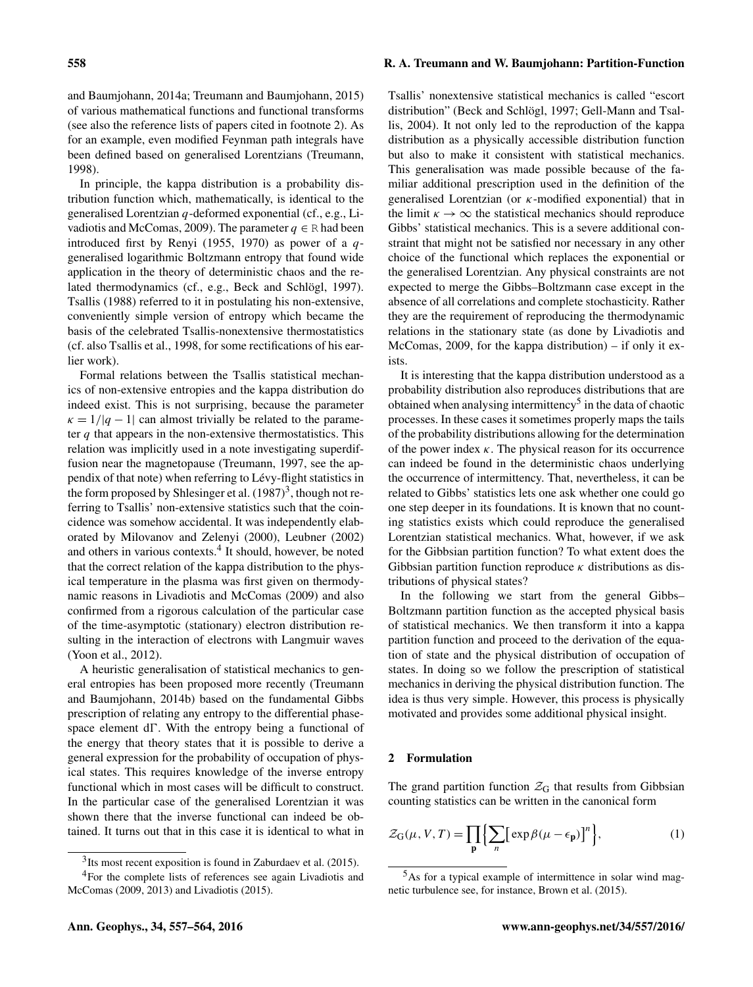## 558 R. A. Treumann and W. Baumjohann: Partition-Function

and Baumjohann, 2014a; [Treumann and Baumjohann,](#page-7-3) [2015\)](#page-7-3) of various mathematical functions and functional transforms (see also the reference lists of papers cited in footnote 2). As for an example, even modified Feynman path integrals have been defined based on generalised Lorentzians [\(Treumann,](#page-7-4) [1998\)](#page-7-4).

In principle, the kappa distribution is a probability distribution function which, mathematically, is identical to the generalised Lorentzian q-deformed exponential (cf., e.g., [Li](#page-7-5)[vadiotis and McComas,](#page-7-5) [2009\)](#page-7-5). The parameter  $q \in \mathbb{R}$  had been introduced first by [Renyi](#page-7-6) [\(1955,](#page-7-6) [1970\)](#page-7-7) as power of a  $q$ generalised logarithmic Boltzmann entropy that found wide application in the theory of deterministic chaos and the related thermodynamics (cf., e.g., [Beck and Schlögl,](#page-7-8) [1997\)](#page-7-8). [Tsallis](#page-7-9) [\(1988\)](#page-7-9) referred to it in postulating his non-extensive, conveniently simple version of entropy which became the basis of the celebrated Tsallis-nonextensive thermostatistics (cf. also [Tsallis et al.,](#page-7-10) [1998,](#page-7-10) for some rectifications of his earlier work).

Formal relations between the Tsallis statistical mechanics of non-extensive entropies and the kappa distribution do indeed exist. This is not surprising, because the parameter  $\kappa = 1/|q - 1|$  can almost trivially be related to the parameter  $q$  that appears in the non-extensive thermostatistics. This relation was implicitly used in a note investigating superdiffusion near the magnetopause [\(Treumann,](#page-7-11) [1997,](#page-7-11) see the appendix of that note) when referring to Lévy-flight statistics in the form proposed by [Shlesinger et al.](#page-7-12)  $(1987)^3$  $(1987)^3$ , though not referring to Tsallis' non-extensive statistics such that the coincidence was somehow accidental. It was independently elaborated by [Milovanov and Zelenyi](#page-7-13) [\(2000\)](#page-7-13), [Leubner](#page-7-14) [\(2002\)](#page-7-14) and others in various contexts.<sup>4</sup> It should, however, be noted that the correct relation of the kappa distribution to the physical temperature in the plasma was first given on thermodynamic reasons in [Livadiotis and McComas](#page-7-5) [\(2009\)](#page-7-5) and also confirmed from a rigorous calculation of the particular case of the time-asymptotic (stationary) electron distribution resulting in the interaction of electrons with Langmuir waves [\(Yoon et al.,](#page-7-15) [2012\)](#page-7-15).

A heuristic generalisation of statistical mechanics to general entropies has been proposed more recently [\(Treumann](#page-7-16) [and Baumjohann,](#page-7-16) [2014b\)](#page-7-16) based on the fundamental Gibbs prescription of relating any entropy to the differential phasespace element  $d\Gamma$ . With the entropy being a functional of the energy that theory states that it is possible to derive a general expression for the probability of occupation of physical states. This requires knowledge of the inverse entropy functional which in most cases will be difficult to construct. In the particular case of the generalised Lorentzian it was shown there that the inverse functional can indeed be obtained. It turns out that in this case it is identical to what in Tsallis' nonextensive statistical mechanics is called "escort distribution" [\(Beck and Schlögl,](#page-7-8) [1997;](#page-7-8) [Gell-Mann and Tsal](#page-7-17)[lis,](#page-7-17) [2004\)](#page-7-17). It not only led to the reproduction of the kappa distribution as a physically accessible distribution function but also to make it consistent with statistical mechanics. This generalisation was made possible because of the familiar additional prescription used in the definition of the generalised Lorentzian (or  $\kappa$ -modified exponential) that in the limit  $\kappa \to \infty$  the statistical mechanics should reproduce Gibbs' statistical mechanics. This is a severe additional constraint that might not be satisfied nor necessary in any other choice of the functional which replaces the exponential or the generalised Lorentzian. Any physical constraints are not expected to merge the Gibbs–Boltzmann case except in the absence of all correlations and complete stochasticity. Rather they are the requirement of reproducing the thermodynamic relations in the stationary state (as done by [Livadiotis and](#page-7-5) [McComas,](#page-7-5) [2009,](#page-7-5) for the kappa distribution) – if only it exists.

It is interesting that the kappa distribution understood as a probability distribution also reproduces distributions that are obtained when analysing intermittency<sup>5</sup> in the data of chaotic processes. In these cases it sometimes properly maps the tails of the probability distributions allowing for the determination of the power index  $\kappa$ . The physical reason for its occurrence can indeed be found in the deterministic chaos underlying the occurrence of intermittency. That, nevertheless, it can be related to Gibbs' statistics lets one ask whether one could go one step deeper in its foundations. It is known that no counting statistics exists which could reproduce the generalised Lorentzian statistical mechanics. What, however, if we ask for the Gibbsian partition function? To what extent does the Gibbsian partition function reproduce  $\kappa$  distributions as distributions of physical states?

In the following we start from the general Gibbs– Boltzmann partition function as the accepted physical basis of statistical mechanics. We then transform it into a kappa partition function and proceed to the derivation of the equation of state and the physical distribution of occupation of states. In doing so we follow the prescription of statistical mechanics in deriving the physical distribution function. The idea is thus very simple. However, this process is physically motivated and provides some additional physical insight.

## 2 Formulation

The grand partition function  $\mathcal{Z}_G$  that results from Gibbsian counting statistics can be written in the canonical form

$$
\mathcal{Z}_{G}(\mu, V, T) = \prod_{p} \left\{ \sum_{n} \left[ \exp \beta (\mu - \epsilon_{p}) \right]^{n} \right\},\tag{1}
$$

 $3$  Its most recent exposition is found in Zaburdaev et al. (2015).

<sup>&</sup>lt;sup>4</sup>For the complete lists of references see again Livadiotis and McComas (2009, 2013) and Livadiotis (2015).

<sup>&</sup>lt;sup>5</sup>As for a typical example of intermittence in solar wind magnetic turbulence see, for instance, Brown et al. (2015).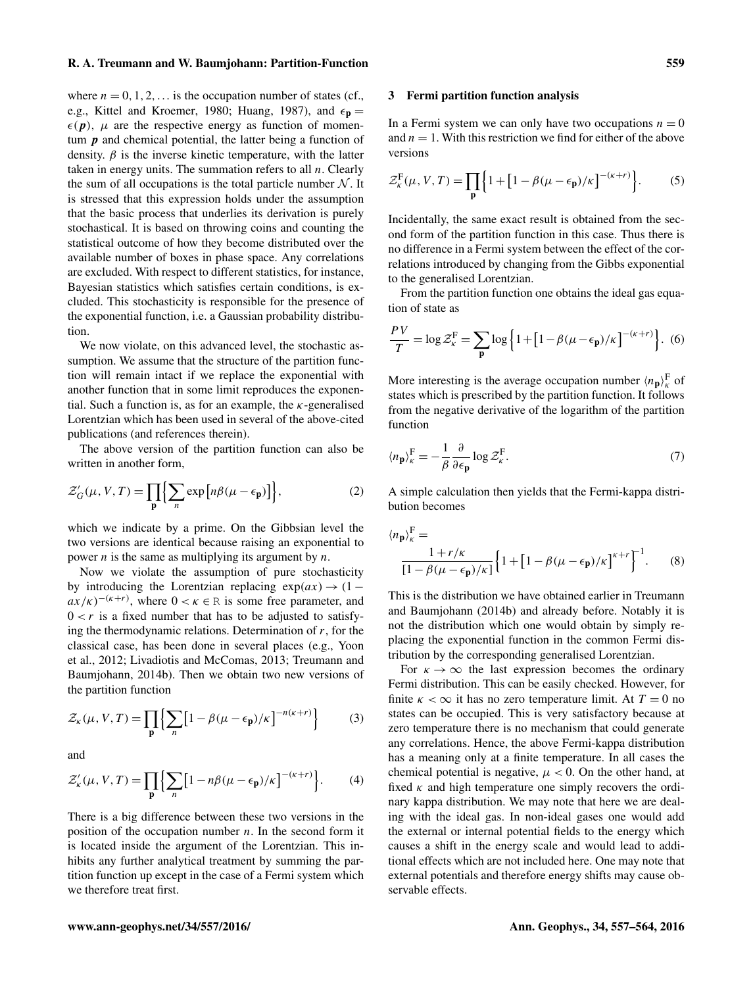#### R. A. Treumann and W. Baumjohann: Partition-Function 559 (1988) 1986 1987 1988 (1988) 1988 1989 1989 1989 198

where  $n = 0, 1, 2, \ldots$  is the occupation number of states (cf., e.g., [Kittel and Kroemer,](#page-7-18) [1980;](#page-7-18) [Huang,](#page-7-19) [1987\)](#page-7-19), and  $\epsilon_p =$  $\epsilon(\mathbf{p})$ ,  $\mu$  are the respective energy as function of momentum  $p$  and chemical potential, the latter being a function of density.  $\beta$  is the inverse kinetic temperature, with the latter taken in energy units. The summation refers to all  $n$ . Clearly the sum of all occupations is the total particle number  $N$ . It is stressed that this expression holds under the assumption that the basic process that underlies its derivation is purely stochastical. It is based on throwing coins and counting the statistical outcome of how they become distributed over the available number of boxes in phase space. Any correlations are excluded. With respect to different statistics, for instance, Bayesian statistics which satisfies certain conditions, is excluded. This stochasticity is responsible for the presence of the exponential function, i.e. a Gaussian probability distribution.

We now violate, on this advanced level, the stochastic assumption. We assume that the structure of the partition function will remain intact if we replace the exponential with another function that in some limit reproduces the exponential. Such a function is, as for an example, the  $\kappa$ -generalised Lorentzian which has been used in several of the above-cited publications (and references therein).

The above version of the partition function can also be written in another form,

$$
\mathcal{Z}'_G(\mu, V, T) = \prod_{\mathbf{p}} \left\{ \sum_n \exp\left[ n\beta(\mu - \epsilon_{\mathbf{p}}) \right] \right\},\tag{2}
$$

which we indicate by a prime. On the Gibbsian level the two versions are identical because raising an exponential to power *n* is the same as multiplying its argument by *n*.

Now we violate the assumption of pure stochasticity by introducing the Lorentzian replacing  $\exp(ax) \rightarrow (1$  $ax/\kappa$ <sup>-(k+r)</sup>, where  $0 < \kappa \in \mathbb{R}$  is some free parameter, and  $0 < r$  is a fixed number that has to be adjusted to satisfying the thermodynamic relations. Determination of  $r$ , for the classical case, has been done in several places (e.g., [Yoon](#page-7-15) [et al.,](#page-7-15) [2012;](#page-7-15) [Livadiotis and McComas,](#page-7-20) [2013;](#page-7-20) [Treumann and](#page-7-16) [Baumjohann,](#page-7-16) [2014b\)](#page-7-16). Then we obtain two new versions of the partition function

$$
\mathcal{Z}_{\kappa}(\mu, V, T) = \prod_{\mathbf{p}} \left\{ \sum_{n} \left[ 1 - \beta(\mu - \epsilon_{\mathbf{p}}) / \kappa \right]^{-n(\kappa + r)} \right\} \tag{3}
$$

and

$$
\mathcal{Z}'_{\kappa}(\mu, V, T) = \prod_{\mathbf{p}} \left\{ \sum_{n} \left[ 1 - n\beta(\mu - \epsilon_{\mathbf{p}})/\kappa \right]^{-(\kappa + r)} \right\}.
$$
 (4)

There is a big difference between these two versions in the position of the occupation number  $n$ . In the second form it is located inside the argument of the Lorentzian. This inhibits any further analytical treatment by summing the partition function up except in the case of a Fermi system which we therefore treat first.

#### 3 Fermi partition function analysis

In a Fermi system we can only have two occupations  $n = 0$ and  $n = 1$ . With this restriction we find for either of the above versions

$$
\mathcal{Z}_\kappa^{\mathcal{F}}(\mu, V, T) = \prod_{\mathbf{p}} \left\{ 1 + \left[ 1 - \beta(\mu - \epsilon_{\mathbf{p}}) / \kappa \right]^{-(\kappa + r)} \right\}.
$$
 (5)

Incidentally, the same exact result is obtained from the second form of the partition function in this case. Thus there is no difference in a Fermi system between the effect of the correlations introduced by changing from the Gibbs exponential to the generalised Lorentzian.

From the partition function one obtains the ideal gas equation of state as

$$
\frac{PV}{T} = \log \mathcal{Z}_{\kappa}^{F} = \sum_{\mathbf{p}} \log \left\{ 1 + \left[ 1 - \beta(\mu - \epsilon_{\mathbf{p}}) / \kappa \right]^{-(\kappa + r)} \right\}.
$$
 (6)

More interesting is the average occupation number  $\langle n_{\mathbf{p}} \rangle_{\kappa}^{\mathbf{F}}$  of states which is prescribed by the partition function. It follows from the negative derivative of the logarithm of the partition function

$$
\langle n_{\mathbf{p}} \rangle_{\kappa}^{\mathbf{F}} = -\frac{1}{\beta} \frac{\partial}{\partial \epsilon_{\mathbf{p}}} \log \mathcal{Z}_{\kappa}^{\mathbf{F}}.
$$
 (7)

A simple calculation then yields that the Fermi-kappa distribution becomes

$$
\langle n_{\mathbf{p}} \rangle_{\kappa}^{\mathbf{F}} =
$$
  

$$
\frac{1 + r/\kappa}{\left[1 - \beta(\mu - \epsilon_{\mathbf{p}})/\kappa\right]} \left\{1 + \left[1 - \beta(\mu - \epsilon_{\mathbf{p}})/\kappa\right]^{\kappa + r}\right\}^{-1}.
$$
 (8)

This is the distribution we have obtained earlier in [Treumann](#page-7-16) [and Baumjohann](#page-7-16) [\(2014b\)](#page-7-16) and already before. Notably it is not the distribution which one would obtain by simply replacing the exponential function in the common Fermi distribution by the corresponding generalised Lorentzian.

For  $\kappa \to \infty$  the last expression becomes the ordinary Fermi distribution. This can be easily checked. However, for finite  $\kappa < \infty$  it has no zero temperature limit. At  $T = 0$  no states can be occupied. This is very satisfactory because at zero temperature there is no mechanism that could generate any correlations. Hence, the above Fermi-kappa distribution has a meaning only at a finite temperature. In all cases the chemical potential is negative,  $\mu < 0$ . On the other hand, at fixed  $\kappa$  and high temperature one simply recovers the ordinary kappa distribution. We may note that here we are dealing with the ideal gas. In non-ideal gases one would add the external or internal potential fields to the energy which causes a shift in the energy scale and would lead to additional effects which are not included here. One may note that external potentials and therefore energy shifts may cause observable effects.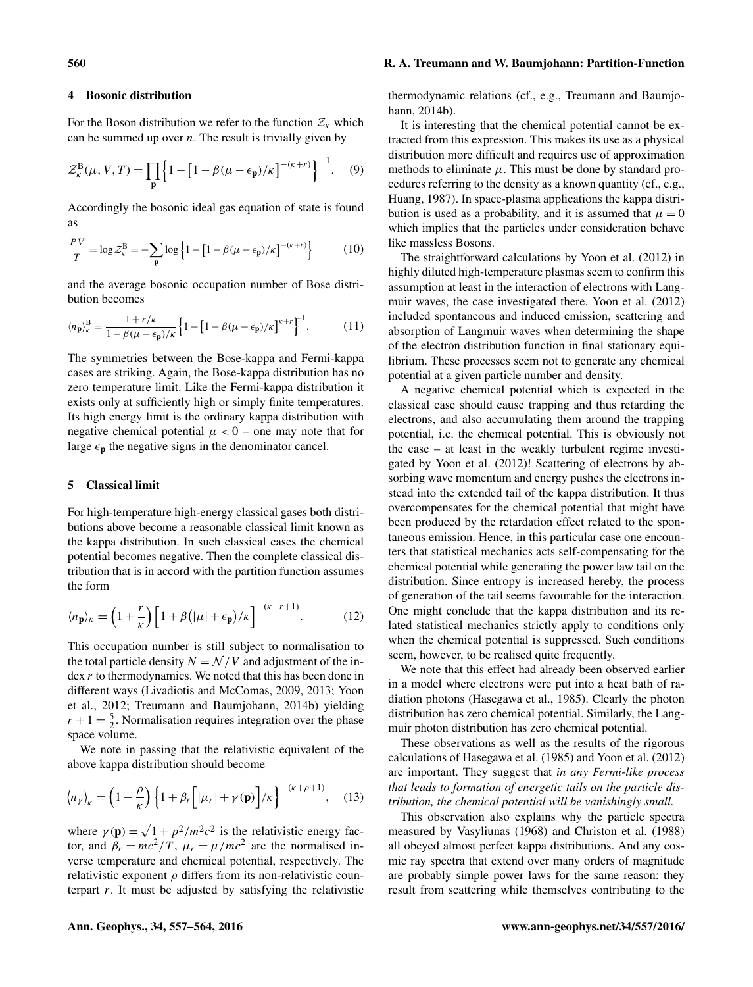#### 560 R. A. Treumann and W. Baumjohann: Partition-Function

## 4 Bosonic distribution

For the Boson distribution we refer to the function  $\mathcal{Z}_\kappa$  which can be summed up over  $n$ . The result is trivially given by

$$
\mathcal{Z}_{\kappa}^{\mathcal{B}}(\mu, V, T) = \prod_{\mathbf{p}} \left\{ 1 - \left[ 1 - \beta(\mu - \epsilon_{\mathbf{p}}) / \kappa \right]^{-(\kappa + r)} \right\}^{-1}.
$$
 (9)

Accordingly the bosonic ideal gas equation of state is found as

$$
\frac{PV}{T} = \log \mathcal{Z}_{\kappa}^{\mathcal{B}} = -\sum_{\mathbf{p}} \log \left\{ 1 - \left[ 1 - \beta(\mu - \epsilon_{\mathbf{p}}) / \kappa \right]^{-(\kappa + r)} \right\} \tag{10}
$$

and the average bosonic occupation number of Bose distribution becomes

$$
\langle n_{\mathbf{p}} \rangle_{\kappa}^{\mathbf{B}} = \frac{1 + r/\kappa}{1 - \beta(\mu - \epsilon_{\mathbf{p}})/\kappa} \left\{ 1 - \left[ 1 - \beta(\mu - \epsilon_{\mathbf{p}})/\kappa \right]^{K+r} \right\}^{-1}.
$$
 (11)

The symmetries between the Bose-kappa and Fermi-kappa cases are striking. Again, the Bose-kappa distribution has no zero temperature limit. Like the Fermi-kappa distribution it exists only at sufficiently high or simply finite temperatures. Its high energy limit is the ordinary kappa distribution with negative chemical potential  $\mu < 0$  – one may note that for large  $\epsilon_p$  the negative signs in the denominator cancel.

# 5 Classical limit

For high-temperature high-energy classical gases both distributions above become a reasonable classical limit known as the kappa distribution. In such classical cases the chemical potential becomes negative. Then the complete classical distribution that is in accord with the partition function assumes the form

$$
\langle n_{\mathbf{p}} \rangle_{\kappa} = \left( 1 + \frac{r}{\kappa} \right) \left[ 1 + \beta \left( |\mu| + \epsilon_{\mathbf{p}} \right) / \kappa \right]^{-(\kappa + r + 1)}.
$$
 (12)

This occupation number is still subject to normalisation to the total particle density  $N = \mathcal{N}/V$  and adjustment of the index r to thermodynamics. We noted that this has been done in different ways [\(Livadiotis and McComas,](#page-7-5) [2009,](#page-7-5) [2013;](#page-7-20) [Yoon](#page-7-15) [et al.,](#page-7-15) [2012;](#page-7-15) [Treumann and Baumjohann,](#page-7-16) [2014b\)](#page-7-16) yielding  $r + 1 = \frac{5}{2}$ . Normalisation requires integration over the phase space volume.

We note in passing that the relativistic equivalent of the above kappa distribution should become

$$
\langle n_{\gamma} \rangle_{\kappa} = \left(1 + \frac{\rho}{\kappa}\right) \left\{1 + \beta_{r} \left[|\mu_{r}| + \gamma(\mathbf{p})\right] / \kappa\right\}^{-(\kappa + \rho + 1)}, \quad (13)
$$

where  $\gamma(\mathbf{p}) = \sqrt{1 + p^2/m^2 c^2}$  is the relativistic energy factor, and  $\beta_r = mc^2/T$ ,  $\mu_r = \mu/mc^2$  are the normalised inverse temperature and chemical potential, respectively. The relativistic exponent  $\rho$  differs from its non-relativistic counterpart  $r$ . It must be adjusted by satisfying the relativistic thermodynamic relations (cf., e.g., [Treumann and Baumjo](#page-7-16)[hann,](#page-7-16) [2014b\)](#page-7-16).

It is interesting that the chemical potential cannot be extracted from this expression. This makes its use as a physical distribution more difficult and requires use of approximation methods to eliminate  $\mu$ . This must be done by standard procedures referring to the density as a known quantity (cf., e.g., [Huang,](#page-7-19) [1987\)](#page-7-19). In space-plasma applications the kappa distribution is used as a probability, and it is assumed that  $\mu = 0$ which implies that the particles under consideration behave like massless Bosons.

The straightforward calculations by [Yoon et al.](#page-7-15) [\(2012\)](#page-7-15) in highly diluted high-temperature plasmas seem to confirm this assumption at least in the interaction of electrons with Langmuir waves, the case investigated there. [Yoon et al.](#page-7-15) [\(2012\)](#page-7-15) included spontaneous and induced emission, scattering and absorption of Langmuir waves when determining the shape of the electron distribution function in final stationary equilibrium. These processes seem not to generate any chemical potential at a given particle number and density.

A negative chemical potential which is expected in the classical case should cause trapping and thus retarding the electrons, and also accumulating them around the trapping potential, i.e. the chemical potential. This is obviously not the case – at least in the weakly turbulent regime investigated by [Yoon et al.](#page-7-15) [\(2012\)](#page-7-15)! Scattering of electrons by absorbing wave momentum and energy pushes the electrons instead into the extended tail of the kappa distribution. It thus overcompensates for the chemical potential that might have been produced by the retardation effect related to the spontaneous emission. Hence, in this particular case one encounters that statistical mechanics acts self-compensating for the chemical potential while generating the power law tail on the distribution. Since entropy is increased hereby, the process of generation of the tail seems favourable for the interaction. One might conclude that the kappa distribution and its related statistical mechanics strictly apply to conditions only when the chemical potential is suppressed. Such conditions seem, however, to be realised quite frequently.

We note that this effect had already been observed earlier in a model where electrons were put into a heat bath of radiation photons [\(Hasegawa et al.,](#page-7-21) [1985\)](#page-7-21). Clearly the photon distribution has zero chemical potential. Similarly, the Langmuir photon distribution has zero chemical potential.

These observations as well as the results of the rigorous calculations of [Hasegawa et al.](#page-7-21) [\(1985\)](#page-7-21) and [Yoon et al.](#page-7-15) [\(2012\)](#page-7-15) are important. They suggest that *in any Fermi-like process that leads to formation of energetic tails on the particle distribution, the chemical potential will be vanishingly small.*

This observation also explains why the particle spectra measured by [Vasyliunas](#page-7-0) [\(1968\)](#page-7-0) and [Christon et al.](#page-7-1) [\(1988\)](#page-7-1) all obeyed almost perfect kappa distributions. And any cosmic ray spectra that extend over many orders of magnitude are probably simple power laws for the same reason: they result from scattering while themselves contributing to the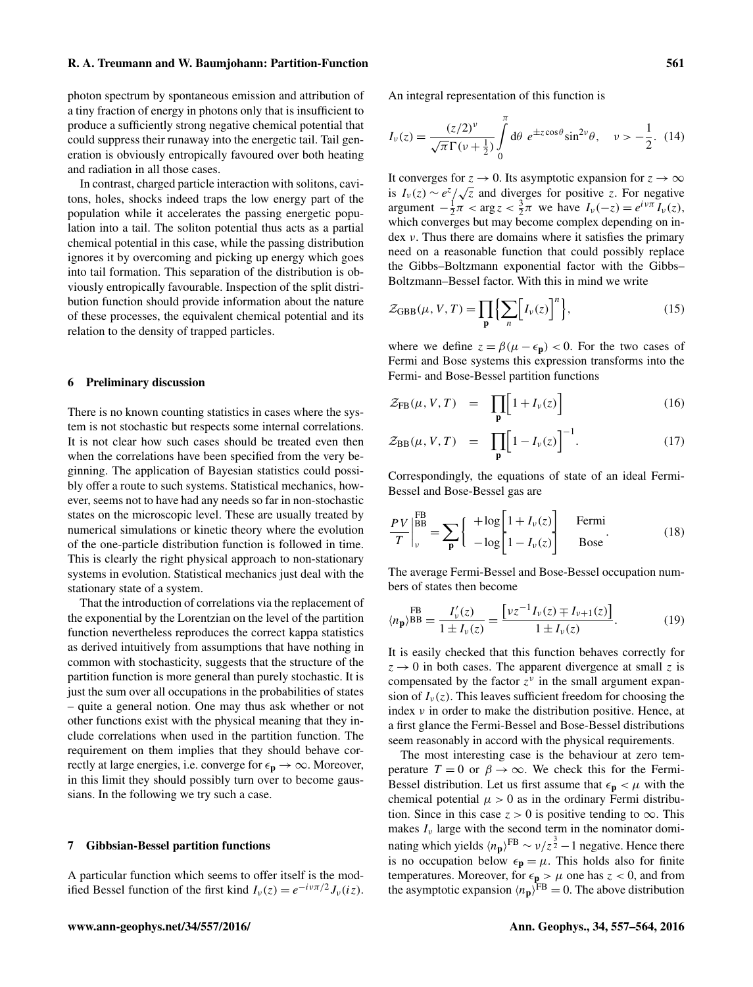## R. A. Treumann and W. Baumjohann: Partition-Function 561 and 561 states in the state of the state of the state of the state of the state of the state of the state of the state of the state of the state of the state of the

photon spectrum by spontaneous emission and attribution of a tiny fraction of energy in photons only that is insufficient to produce a sufficiently strong negative chemical potential that could suppress their runaway into the energetic tail. Tail generation is obviously entropically favoured over both heating and radiation in all those cases.

In contrast, charged particle interaction with solitons, cavitons, holes, shocks indeed traps the low energy part of the population while it accelerates the passing energetic population into a tail. The soliton potential thus acts as a partial chemical potential in this case, while the passing distribution ignores it by overcoming and picking up energy which goes into tail formation. This separation of the distribution is obviously entropically favourable. Inspection of the split distribution function should provide information about the nature of these processes, the equivalent chemical potential and its relation to the density of trapped particles.

#### 6 Preliminary discussion

There is no known counting statistics in cases where the system is not stochastic but respects some internal correlations. It is not clear how such cases should be treated even then when the correlations have been specified from the very beginning. The application of Bayesian statistics could possibly offer a route to such systems. Statistical mechanics, however, seems not to have had any needs so far in non-stochastic states on the microscopic level. These are usually treated by numerical simulations or kinetic theory where the evolution of the one-particle distribution function is followed in time. This is clearly the right physical approach to non-stationary systems in evolution. Statistical mechanics just deal with the stationary state of a system.

That the introduction of correlations via the replacement of the exponential by the Lorentzian on the level of the partition function nevertheless reproduces the correct kappa statistics as derived intuitively from assumptions that have nothing in common with stochasticity, suggests that the structure of the partition function is more general than purely stochastic. It is just the sum over all occupations in the probabilities of states – quite a general notion. One may thus ask whether or not other functions exist with the physical meaning that they include correlations when used in the partition function. The requirement on them implies that they should behave correctly at large energies, i.e. converge for  $\epsilon_p \to \infty$ . Moreover, in this limit they should possibly turn over to become gaussians. In the following we try such a case.

#### 7 Gibbsian-Bessel partition functions

A particular function which seems to offer itself is the modified Bessel function of the first kind  $I_{\nu}(z) = e^{-i\nu\pi/2} J_{\nu}(iz)$ .

An integral representation of this function is

$$
I_{\nu}(z) = \frac{(z/2)^{\nu}}{\sqrt{\pi} \Gamma(\nu + \frac{1}{2})} \int_{0}^{\pi} d\theta \ e^{\pm z \cos \theta} \sin^{2\nu} \theta, \quad \nu > -\frac{1}{2}.
$$
 (14)

It converges for  $z \to 0$ . Its asymptotic expansion for  $z \to \infty$ is  $I_v(z) \sim e^z/$ √  $\overline{z}$  and diverges for positive z. For negative argument  $-\frac{1}{2}\pi < \arg z < \frac{3}{2}\pi$  we have  $I_v(-z) = e^{i\nu\pi}I_v(z)$ , which converges but may become complex depending on index ν. Thus there are domains where it satisfies the primary need on a reasonable function that could possibly replace the Gibbs–Boltzmann exponential factor with the Gibbs– Boltzmann–Bessel factor. With this in mind we write

$$
\mathcal{Z}_{\text{GBB}}(\mu, V, T) = \prod_{\mathbf{p}} \left\{ \sum_{n} \left[ I_{\nu}(z) \right]^{n} \right\},\tag{15}
$$

where we define  $z = \beta(\mu - \epsilon_{p}) < 0$ . For the two cases of Fermi and Bose systems this expression transforms into the Fermi- and Bose-Bessel partition functions

$$
\mathcal{Z}_{\text{FB}}(\mu, V, T) = \prod_{\mathbf{p}} \left[ 1 + I_{\nu}(z) \right] \tag{16}
$$

$$
\mathcal{Z}_{\text{BB}}(\mu, V, T) = \prod_{\mathbf{p}} \left[ 1 - I_{\nu}(z) \right]^{-1}.
$$
 (17)

Correspondingly, the equations of state of an ideal Fermi-Bessel and Bose-Bessel gas are

$$
\frac{PV}{T}\bigg|_{v}^{FB} = \sum_{\mathbf{p}} \left\{ \begin{array}{c} +\log\left[1 + I_{v}(z)\right] & \text{Fermi} \\ -\log\left[1 - I_{v}(z)\right] & \text{Bose} \end{array} \right. \tag{18}
$$

The average Fermi-Bessel and Bose-Bessel occupation numbers of states then become

$$
\langle n_{\mathbf{p}} \rangle^{FB}_{BB} = \frac{I_{\nu}'(z)}{1 \pm I_{\nu}(z)} = \frac{\left[\nu z^{-1} I_{\nu}(z) \mp I_{\nu+1}(z)\right]}{1 \pm I_{\nu}(z)}.
$$
 (19)

It is easily checked that this function behaves correctly for  $z \rightarrow 0$  in both cases. The apparent divergence at small z is compensated by the factor  $z^v$  in the small argument expansion of  $I_{\nu}(z)$ . This leaves sufficient freedom for choosing the index  $\nu$  in order to make the distribution positive. Hence, at a first glance the Fermi-Bessel and Bose-Bessel distributions seem reasonably in accord with the physical requirements.

The most interesting case is the behaviour at zero temperature  $T = 0$  or  $\beta \rightarrow \infty$ . We check this for the Fermi-Bessel distribution. Let us first assume that  $\epsilon_p < \mu$  with the chemical potential  $\mu > 0$  as in the ordinary Fermi distribution. Since in this case  $z > 0$  is positive tending to  $\infty$ . This makes  $I_{\nu}$  large with the second term in the nominator dominating which yields  $\langle n_p \rangle^{\text{FB}} \sim \nu/z^{\frac{3}{2}} - 1$  negative. Hence there is no occupation below  $\epsilon_{\bf p} = \mu$ . This holds also for finite temperatures. Moreover, for  $\epsilon_p > \mu$  one has  $z < 0$ , and from the asymptotic expansion  $\langle n_{\mathbf{p}} \rangle^{\text{FB}} = 0$ . The above distribution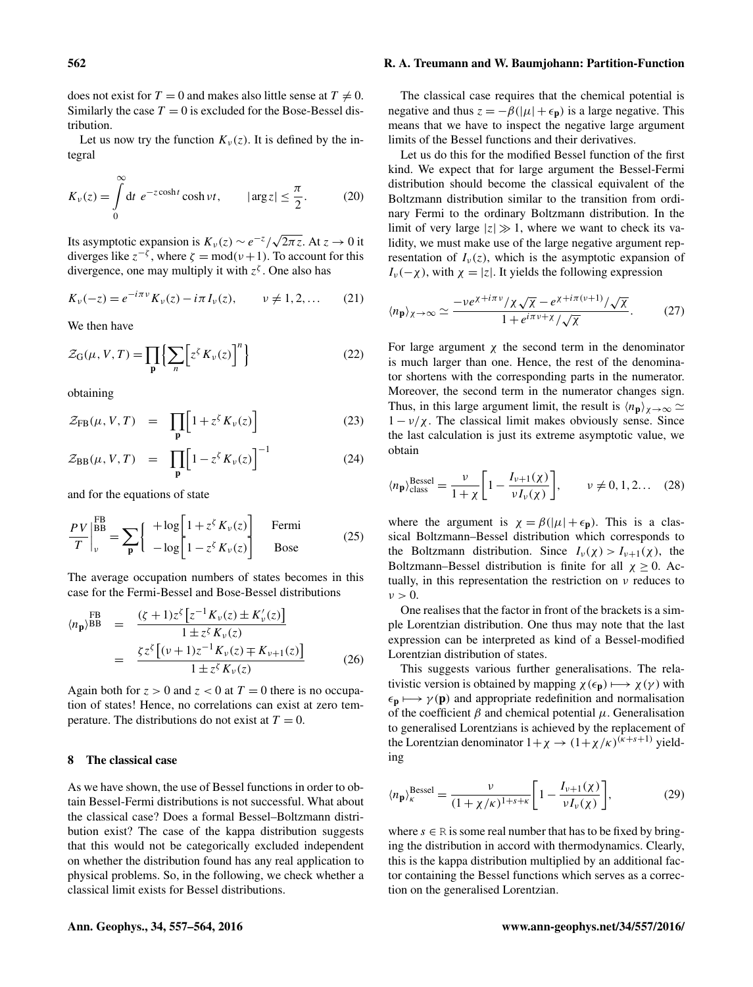does not exist for  $T = 0$  and makes also little sense at  $T \neq 0$ . Similarly the case  $T = 0$  is excluded for the Bose-Bessel distribution.

Let us now try the function  $K_v(z)$ . It is defined by the integral

$$
K_{\nu}(z) = \int_{0}^{\infty} dt \ e^{-z \cosh t} \cosh \nu t, \qquad |\arg z| \leq \frac{\pi}{2}.
$$
 (20)

Its asymptotic expansion is  $K_v(z) \sim e^{-z}/z$ √  $\overline{2\pi z}$ . At  $z \to 0$  it diverges like  $z^{-\zeta}$ , where  $\zeta = \text{mod}(\nu + 1)$ . To account for this divergence, one may multiply it with  $z^{\zeta}$ . One also has

$$
K_{\nu}(-z) = e^{-i\pi \nu} K_{\nu}(z) - i\pi I_{\nu}(z), \qquad \nu \neq 1, 2, ... \qquad (21)
$$

We then have

$$
\mathcal{Z}_{\mathbf{G}}(\mu, V, T) = \prod_{\mathbf{p}} \left\{ \sum_{n} \left[ z^{\zeta} K_{\nu}(z) \right]^{n} \right\} \tag{22}
$$

obtaining

$$
\mathcal{Z}_{\text{FB}}(\mu, V, T) = \prod_{\mathbf{p}} \left[ 1 + z^{\zeta} K_{\nu}(z) \right] \tag{23}
$$

$$
\mathcal{Z}_{\text{BB}}(\mu, V, T) = \prod_{\mathbf{p}} \left[ 1 - z^{\zeta} K_{\nu}(z) \right]^{-1} \tag{24}
$$

and for the equations of state

$$
\frac{PV}{T}\bigg|_{v}^{FB} = \sum_{\mathbf{p}} \left\{ \begin{array}{c} +\log\left[1+z^{\zeta}K_{v}(z)\right] & \text{Fermi} \\ -\log\left[1-z^{\zeta}K_{v}(z)\right] & \text{Bose} \end{array} \right. \tag{25}
$$

The average occupation numbers of states becomes in this case for the Fermi-Bessel and Bose-Bessel distributions

$$
\langle n_{\mathbf{p}} \rangle^{\text{FB}} = \frac{(\zeta + 1)z^{\zeta} \left[ z^{-1} K_{\nu}(z) \pm K_{\nu}'(z) \right]}{1 \pm z^{\zeta} K_{\nu}(z)}
$$
  
= 
$$
\frac{\zeta z^{\zeta} \left[ (\nu + 1)z^{-1} K_{\nu}(z) \mp K_{\nu+1}(z) \right]}{1 \pm z^{\zeta} K_{\nu}(z)}
$$
(26)

Again both for  $z > 0$  and  $z < 0$  at  $T = 0$  there is no occupation of states! Hence, no correlations can exist at zero temperature. The distributions do not exist at  $T = 0$ .

### 8 The classical case

As we have shown, the use of Bessel functions in order to obtain Bessel-Fermi distributions is not successful. What about the classical case? Does a formal Bessel–Boltzmann distribution exist? The case of the kappa distribution suggests that this would not be categorically excluded independent on whether the distribution found has any real application to physical problems. So, in the following, we check whether a classical limit exists for Bessel distributions.

#### 562 R. A. Treumann and W. Baumjohann: Partition-Function

The classical case requires that the chemical potential is negative and thus  $z = -\beta(|\mu| + \epsilon_p)$  is a large negative. This means that we have to inspect the negative large argument limits of the Bessel functions and their derivatives.

Let us do this for the modified Bessel function of the first kind. We expect that for large argument the Bessel-Fermi distribution should become the classical equivalent of the Boltzmann distribution similar to the transition from ordinary Fermi to the ordinary Boltzmann distribution. In the limit of very large  $|z| \gg 1$ , where we want to check its validity, we must make use of the large negative argument representation of  $I_{\nu}(z)$ , which is the asymptotic expansion of  $I_{\nu}(-\chi)$ , with  $\chi = |z|$ . It yields the following expression

$$
\langle n_{\mathbf{p}} \rangle_{\chi \to \infty} \simeq \frac{-\nu e^{\chi + i\pi \nu} / \chi \sqrt{\chi} - e^{\chi + i\pi (\nu + 1)} / \sqrt{\chi}}{1 + e^{i\pi \nu + \chi} / \sqrt{\chi}}.
$$
 (27)

For large argument  $\chi$  the second term in the denominator is much larger than one. Hence, the rest of the denominator shortens with the corresponding parts in the numerator. Moreover, the second term in the numerator changes sign. Thus, in this large argument limit, the result is  $\langle n_{\mathbf{p}} \rangle_{\chi \to \infty} \simeq$  $1 - v/\chi$ . The classical limit makes obviously sense. Since the last calculation is just its extreme asymptotic value, we obtain

$$
\langle n_{\mathbf{p}} \rangle_{\text{class}}^{\text{Bessel}} = \frac{\nu}{1+\chi} \Bigg[ 1 - \frac{I_{\nu+1}(\chi)}{\nu I_{\nu}(\chi)} \Bigg], \qquad \nu \neq 0, 1, 2... \quad (28)
$$

where the argument is  $\chi = \beta(|\mu| + \epsilon_p)$ . This is a classical Boltzmann–Bessel distribution which corresponds to the Boltzmann distribution. Since  $I_{\nu}(\chi) > I_{\nu+1}(\chi)$ , the Boltzmann–Bessel distribution is finite for all  $\chi \geq 0$ . Actually, in this representation the restriction on ν reduces to  $\nu > 0$ .

One realises that the factor in front of the brackets is a simple Lorentzian distribution. One thus may note that the last expression can be interpreted as kind of a Bessel-modified Lorentzian distribution of states.

This suggests various further generalisations. The relativistic version is obtained by mapping  $\chi(\epsilon_{\mathbf{p}}) \mapsto \chi(\gamma)$  with  $\epsilon_p \mapsto \gamma(p)$  and appropriate redefinition and normalisation of the coefficient  $\beta$  and chemical potential  $\mu$ . Generalisation to generalised Lorentzians is achieved by the replacement of the Lorentzian denominator  $1+\chi \rightarrow (1+\chi/\kappa)^{(\kappa+s+1)}$  yielding

$$
\langle n_{\mathbf{p}} \rangle_{\kappa}^{\text{Bessel}} = \frac{\nu}{(1 + \chi/\kappa)^{1 + s + \kappa}} \left[ 1 - \frac{I_{\nu+1}(\chi)}{\nu I_{\nu}(\chi)} \right],\tag{29}
$$

where  $s \in \mathbb{R}$  is some real number that has to be fixed by bringing the distribution in accord with thermodynamics. Clearly, this is the kappa distribution multiplied by an additional factor containing the Bessel functions which serves as a correction on the generalised Lorentzian.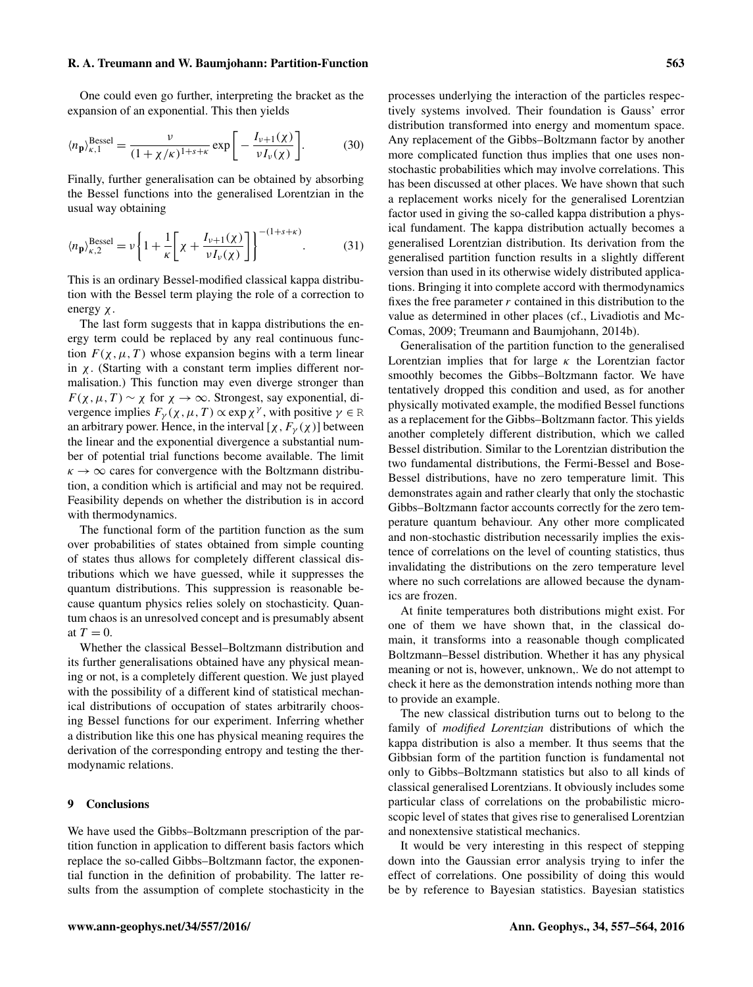#### R. A. Treumann and W. Baumjohann: Partition-Function 563

One could even go further, interpreting the bracket as the expansion of an exponential. This then yields

$$
\langle n_{\mathbf{p}} \rangle_{\kappa,1}^{\text{Bessel}} = \frac{\nu}{(1 + \chi/\kappa)^{1+s+\kappa}} \exp\bigg[ -\frac{I_{\nu+1}(\chi)}{\nu I_{\nu}(\chi)} \bigg]. \tag{30}
$$

Finally, further generalisation can be obtained by absorbing the Bessel functions into the generalised Lorentzian in the usual way obtaining

$$
\langle n_{\mathbf{p}} \rangle_{\kappa,2}^{\text{Bessel}} = \nu \left\{ 1 + \frac{1}{\kappa} \left[ \chi + \frac{I_{\nu+1}(\chi)}{\nu I_{\nu}(\chi)} \right] \right\}^{-(1+s+\kappa)}.
$$
 (31)

This is an ordinary Bessel-modified classical kappa distribution with the Bessel term playing the role of a correction to energy χ.

The last form suggests that in kappa distributions the energy term could be replaced by any real continuous function  $F(\chi, \mu, T)$  whose expansion begins with a term linear in  $\chi$ . (Starting with a constant term implies different normalisation.) This function may even diverge stronger than  $F(\chi, \mu, T) \sim \chi$  for  $\chi \to \infty$ . Strongest, say exponential, divergence implies  $F_{\gamma}(\chi, \mu, T) \propto \exp \chi^{\gamma}$ , with positive  $\gamma \in \mathbb{R}$ an arbitrary power. Hence, in the interval  $[\chi, F_{\gamma}(\chi)]$  between the linear and the exponential divergence a substantial number of potential trial functions become available. The limit  $\kappa \to \infty$  cares for convergence with the Boltzmann distribution, a condition which is artificial and may not be required. Feasibility depends on whether the distribution is in accord with thermodynamics.

The functional form of the partition function as the sum over probabilities of states obtained from simple counting of states thus allows for completely different classical distributions which we have guessed, while it suppresses the quantum distributions. This suppression is reasonable because quantum physics relies solely on stochasticity. Quantum chaos is an unresolved concept and is presumably absent at  $T=0$ .

Whether the classical Bessel–Boltzmann distribution and its further generalisations obtained have any physical meaning or not, is a completely different question. We just played with the possibility of a different kind of statistical mechanical distributions of occupation of states arbitrarily choosing Bessel functions for our experiment. Inferring whether a distribution like this one has physical meaning requires the derivation of the corresponding entropy and testing the thermodynamic relations.

## 9 Conclusions

We have used the Gibbs–Boltzmann prescription of the partition function in application to different basis factors which replace the so-called Gibbs–Boltzmann factor, the exponential function in the definition of probability. The latter results from the assumption of complete stochasticity in the processes underlying the interaction of the particles respectively systems involved. Their foundation is Gauss' error distribution transformed into energy and momentum space. Any replacement of the Gibbs–Boltzmann factor by another more complicated function thus implies that one uses nonstochastic probabilities which may involve correlations. This has been discussed at other places. We have shown that such a replacement works nicely for the generalised Lorentzian factor used in giving the so-called kappa distribution a physical fundament. The kappa distribution actually becomes a generalised Lorentzian distribution. Its derivation from the generalised partition function results in a slightly different version than used in its otherwise widely distributed applications. Bringing it into complete accord with thermodynamics fixes the free parameter  $r$  contained in this distribution to the value as determined in other places (cf., [Livadiotis and Mc-](#page-7-5)[Comas,](#page-7-5) [2009;](#page-7-5) [Treumann and Baumjohann,](#page-7-16) [2014b\)](#page-7-16).

Generalisation of the partition function to the generalised Lorentzian implies that for large  $\kappa$  the Lorentzian factor smoothly becomes the Gibbs–Boltzmann factor. We have tentatively dropped this condition and used, as for another physically motivated example, the modified Bessel functions as a replacement for the Gibbs–Boltzmann factor. This yields another completely different distribution, which we called Bessel distribution. Similar to the Lorentzian distribution the two fundamental distributions, the Fermi-Bessel and Bose-Bessel distributions, have no zero temperature limit. This demonstrates again and rather clearly that only the stochastic Gibbs–Boltzmann factor accounts correctly for the zero temperature quantum behaviour. Any other more complicated and non-stochastic distribution necessarily implies the existence of correlations on the level of counting statistics, thus invalidating the distributions on the zero temperature level where no such correlations are allowed because the dynamics are frozen.

At finite temperatures both distributions might exist. For one of them we have shown that, in the classical domain, it transforms into a reasonable though complicated Boltzmann–Bessel distribution. Whether it has any physical meaning or not is, however, unknown,. We do not attempt to check it here as the demonstration intends nothing more than to provide an example.

The new classical distribution turns out to belong to the family of *modified Lorentzian* distributions of which the kappa distribution is also a member. It thus seems that the Gibbsian form of the partition function is fundamental not only to Gibbs–Boltzmann statistics but also to all kinds of classical generalised Lorentzians. It obviously includes some particular class of correlations on the probabilistic microscopic level of states that gives rise to generalised Lorentzian and nonextensive statistical mechanics.

It would be very interesting in this respect of stepping down into the Gaussian error analysis trying to infer the effect of correlations. One possibility of doing this would be by reference to Bayesian statistics. Bayesian statistics